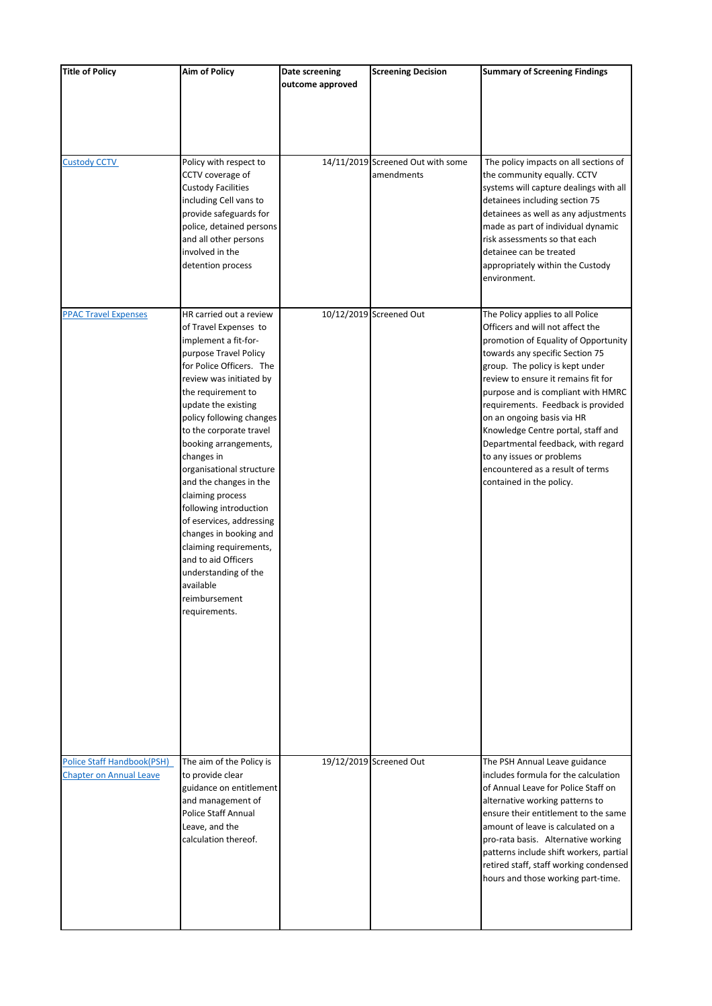| <b>Title of Policy</b>            | <b>Aim of Policy</b>                               | Date screening   | <b>Screening Decision</b>         | <b>Summary of Screening Findings</b>                                   |
|-----------------------------------|----------------------------------------------------|------------------|-----------------------------------|------------------------------------------------------------------------|
|                                   |                                                    | outcome approved |                                   |                                                                        |
|                                   |                                                    |                  |                                   |                                                                        |
|                                   |                                                    |                  |                                   |                                                                        |
|                                   |                                                    |                  |                                   |                                                                        |
|                                   |                                                    |                  |                                   |                                                                        |
| <b>Custody CCTV</b>               | Policy with respect to                             |                  | 14/11/2019 Screened Out with some | The policy impacts on all sections of                                  |
|                                   | CCTV coverage of                                   |                  | amendments                        | the community equally. CCTV                                            |
|                                   | <b>Custody Facilities</b>                          |                  |                                   | systems will capture dealings with all                                 |
|                                   | including Cell vans to                             |                  |                                   | detainees including section 75                                         |
|                                   | provide safeguards for<br>police, detained persons |                  |                                   | detainees as well as any adjustments                                   |
|                                   | and all other persons                              |                  |                                   | made as part of individual dynamic<br>risk assessments so that each    |
|                                   | involved in the                                    |                  |                                   | detainee can be treated                                                |
|                                   | detention process                                  |                  |                                   | appropriately within the Custody                                       |
|                                   |                                                    |                  |                                   | environment.                                                           |
|                                   |                                                    |                  |                                   |                                                                        |
| <b>PPAC Travel Expenses</b>       | HR carried out a review                            |                  | 10/12/2019 Screened Out           | The Policy applies to all Police                                       |
|                                   | of Travel Expenses to                              |                  |                                   | Officers and will not affect the                                       |
|                                   | implement a fit-for-                               |                  |                                   | promotion of Equality of Opportunity                                   |
|                                   | purpose Travel Policy                              |                  |                                   | towards any specific Section 75                                        |
|                                   | for Police Officers. The                           |                  |                                   | group. The policy is kept under                                        |
|                                   | review was initiated by                            |                  |                                   | review to ensure it remains fit for                                    |
|                                   | the requirement to                                 |                  |                                   | purpose and is compliant with HMRC                                     |
|                                   | update the existing<br>policy following changes    |                  |                                   | requirements. Feedback is provided<br>on an ongoing basis via HR       |
|                                   | to the corporate travel                            |                  |                                   | Knowledge Centre portal, staff and                                     |
|                                   | booking arrangements,                              |                  |                                   | Departmental feedback, with regard                                     |
|                                   | changes in                                         |                  |                                   | to any issues or problems                                              |
|                                   | organisational structure                           |                  |                                   | encountered as a result of terms                                       |
|                                   | and the changes in the                             |                  |                                   | contained in the policy.                                               |
|                                   | claiming process                                   |                  |                                   |                                                                        |
|                                   | following introduction                             |                  |                                   |                                                                        |
|                                   | of eservices, addressing<br>changes in booking and |                  |                                   |                                                                        |
|                                   | claiming requirements,                             |                  |                                   |                                                                        |
|                                   | and to aid Officers                                |                  |                                   |                                                                        |
|                                   | understanding of the                               |                  |                                   |                                                                        |
|                                   | available                                          |                  |                                   |                                                                        |
|                                   | reimbursement                                      |                  |                                   |                                                                        |
|                                   | requirements.                                      |                  |                                   |                                                                        |
|                                   |                                                    |                  |                                   |                                                                        |
|                                   |                                                    |                  |                                   |                                                                        |
|                                   |                                                    |                  |                                   |                                                                        |
|                                   |                                                    |                  |                                   |                                                                        |
|                                   |                                                    |                  |                                   |                                                                        |
|                                   |                                                    |                  |                                   |                                                                        |
|                                   |                                                    |                  |                                   |                                                                        |
|                                   |                                                    |                  |                                   |                                                                        |
|                                   |                                                    |                  |                                   |                                                                        |
| <b>Police Staff Handbook(PSH)</b> | The aim of the Policy is                           |                  | 19/12/2019 Screened Out           | The PSH Annual Leave guidance                                          |
| <b>Chapter on Annual Leave</b>    | to provide clear                                   |                  |                                   | includes formula for the calculation                                   |
|                                   | guidance on entitlement<br>and management of       |                  |                                   | of Annual Leave for Police Staff on<br>alternative working patterns to |
|                                   | Police Staff Annual                                |                  |                                   | ensure their entitlement to the same                                   |
|                                   | Leave, and the                                     |                  |                                   | amount of leave is calculated on a                                     |
|                                   | calculation thereof.                               |                  |                                   | pro-rata basis. Alternative working                                    |
|                                   |                                                    |                  |                                   | patterns include shift workers, partial                                |
|                                   |                                                    |                  |                                   | retired staff, staff working condensed                                 |
|                                   |                                                    |                  |                                   | hours and those working part-time.                                     |
|                                   |                                                    |                  |                                   |                                                                        |
|                                   |                                                    |                  |                                   |                                                                        |
|                                   |                                                    |                  |                                   |                                                                        |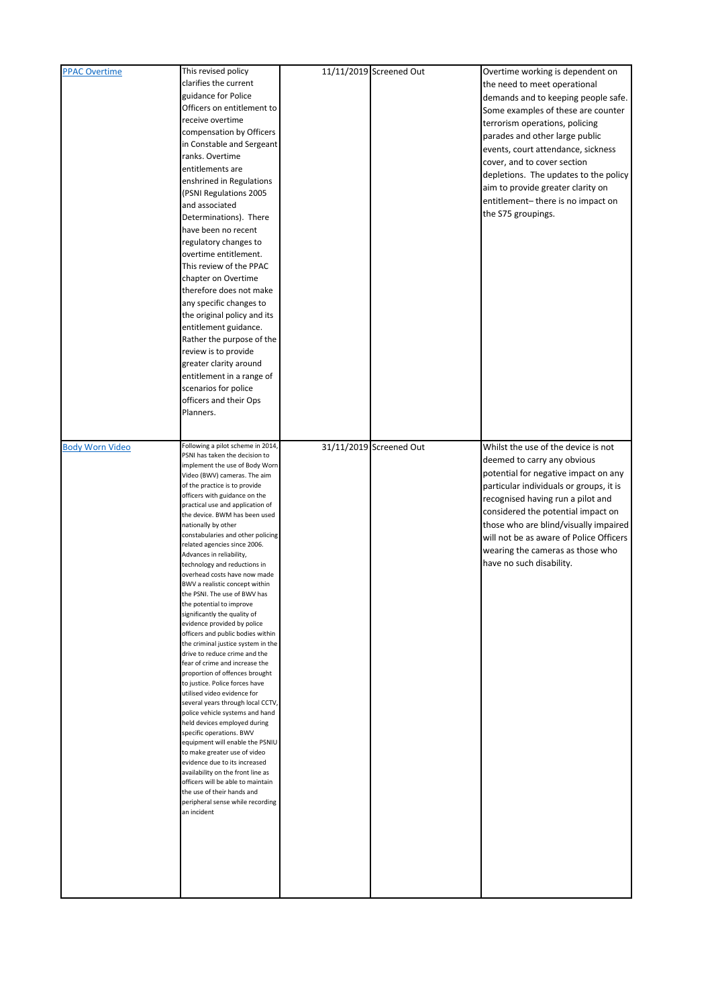| <b>PPAC Overtime</b>   | This revised policy                                              | 11/11/2019 Screened Out | Overtime working is dependent on        |
|------------------------|------------------------------------------------------------------|-------------------------|-----------------------------------------|
|                        | clarifies the current                                            |                         | the need to meet operational            |
|                        | guidance for Police                                              |                         | demands and to keeping people safe.     |
|                        | Officers on entitlement to                                       |                         |                                         |
|                        | receive overtime                                                 |                         | Some examples of these are counter      |
|                        | compensation by Officers                                         |                         | terrorism operations, policing          |
|                        |                                                                  |                         | parades and other large public          |
|                        | in Constable and Sergeant                                        |                         | events, court attendance, sickness      |
|                        | ranks. Overtime                                                  |                         | cover, and to cover section             |
|                        | entitlements are                                                 |                         | depletions. The updates to the policy   |
|                        | enshrined in Regulations                                         |                         |                                         |
|                        | (PSNI Regulations 2005                                           |                         | aim to provide greater clarity on       |
|                        | and associated                                                   |                         | entitlement-there is no impact on       |
|                        | Determinations). There                                           |                         | the S75 groupings.                      |
|                        | have been no recent                                              |                         |                                         |
|                        | regulatory changes to                                            |                         |                                         |
|                        | overtime entitlement.                                            |                         |                                         |
|                        |                                                                  |                         |                                         |
|                        | This review of the PPAC                                          |                         |                                         |
|                        | chapter on Overtime                                              |                         |                                         |
|                        | therefore does not make                                          |                         |                                         |
|                        | any specific changes to                                          |                         |                                         |
|                        | the original policy and its                                      |                         |                                         |
|                        | entitlement guidance.                                            |                         |                                         |
|                        | Rather the purpose of the                                        |                         |                                         |
|                        | review is to provide                                             |                         |                                         |
|                        | greater clarity around                                           |                         |                                         |
|                        |                                                                  |                         |                                         |
|                        | entitlement in a range of                                        |                         |                                         |
|                        | scenarios for police                                             |                         |                                         |
|                        | officers and their Ops                                           |                         |                                         |
|                        | Planners.                                                        |                         |                                         |
|                        |                                                                  |                         |                                         |
| <b>Body Worn Video</b> | Following a pilot scheme in 2014,                                | 31/11/2019 Screened Out | Whilst the use of the device is not     |
|                        | PSNI has taken the decision to                                   |                         |                                         |
|                        | implement the use of Body Worn                                   |                         | deemed to carry any obvious             |
|                        | Video (BWV) cameras. The aim                                     |                         | potential for negative impact on any    |
|                        | of the practice is to provide                                    |                         | particular individuals or groups, it is |
|                        | officers with guidance on the                                    |                         | recognised having run a pilot and       |
|                        | practical use and application of                                 |                         | considered the potential impact on      |
|                        | the device. BWM has been used<br>nationally by other             |                         | those who are blind/visually impaired   |
|                        | constabularies and other policing                                |                         |                                         |
|                        | related agencies since 2006.                                     |                         | will not be as aware of Police Officers |
|                        | Advances in reliability,                                         |                         | wearing the cameras as those who        |
|                        | technology and reductions in                                     |                         | have no such disability.                |
|                        | overhead costs have now made                                     |                         |                                         |
|                        | BWV a realistic concept within                                   |                         |                                         |
|                        | the PSNI. The use of BWV has                                     |                         |                                         |
|                        | the potential to improve                                         |                         |                                         |
|                        | significantly the quality of                                     |                         |                                         |
|                        | evidence provided by police<br>officers and public bodies within |                         |                                         |
|                        | the criminal justice system in the                               |                         |                                         |
|                        | drive to reduce crime and the                                    |                         |                                         |
|                        | fear of crime and increase the                                   |                         |                                         |
|                        | proportion of offences brought                                   |                         |                                         |
|                        | to justice. Police forces have                                   |                         |                                         |
|                        | utilised video evidence for                                      |                         |                                         |
|                        | several years through local CCTV,                                |                         |                                         |
|                        | police vehicle systems and hand                                  |                         |                                         |
|                        | held devices employed during                                     |                         |                                         |
|                        | specific operations. BWV                                         |                         |                                         |
|                        | equipment will enable the PSNIU<br>to make greater use of video  |                         |                                         |
|                        | evidence due to its increased                                    |                         |                                         |
|                        | availability on the front line as                                |                         |                                         |
|                        | officers will be able to maintain                                |                         |                                         |
|                        | the use of their hands and                                       |                         |                                         |
|                        | peripheral sense while recording                                 |                         |                                         |
|                        | an incident                                                      |                         |                                         |
|                        |                                                                  |                         |                                         |
|                        |                                                                  |                         |                                         |
|                        |                                                                  |                         |                                         |
|                        |                                                                  |                         |                                         |
|                        |                                                                  |                         |                                         |
|                        |                                                                  |                         |                                         |